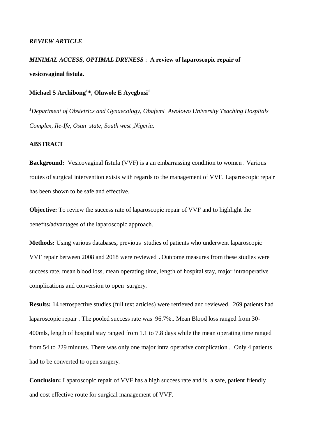## *REVIEW ARTICLE*

# *MINIMAL ACCESS, OPTIMAL DRYNESS* : **A review of laparoscopic repair of vesicovaginal fistula.**

# **Michael S Archibong<sup>1</sup> \*, Oluwole E Ayegbusi<sup>1</sup>**

*<sup>1</sup>Department of Obstetrics and Gynaecology, Obafemi Awolowo University Teaching Hospitals Complex, Ile-Ife, Osun state, South west ,Nigeria.*

## **ABSTRACT**

**Background:** Vesicovaginal fistula (VVF) is a an embarrassing condition to women. Various routes of surgical intervention exists with regards to the management of VVF. Laparoscopic repair has been shown to be safe and effective.

**Objective:** To review the success rate of laparoscopic repair of VVF and to highlight the benefits/advantages of the laparoscopic approach.

**Methods:** Using various databases**,** previous studies of patients who underwent laparoscopic VVF repair between 2008 and 2018 were reviewed **.** Outcome measures from these studies were success rate, mean blood loss, mean operating time, length of hospital stay, major intraoperative complications and conversion to open surgery.

**Results:** 14 retrospective studies (full text articles) were retrieved and reviewed. 269 patients had laparoscopic repair . The pooled success rate was 96.7%.. Mean Blood loss ranged from 30- 400mls, length of hospital stay ranged from 1.1 to 7.8 days while the mean operating time ranged from 54 to 229 minutes. There was only one major intra operative complication . Only 4 patients had to be converted to open surgery.

**Conclusion:** Laparoscopic repair of VVF has a high success rate and is a safe, patient friendly and cost effective route for surgical management of VVF.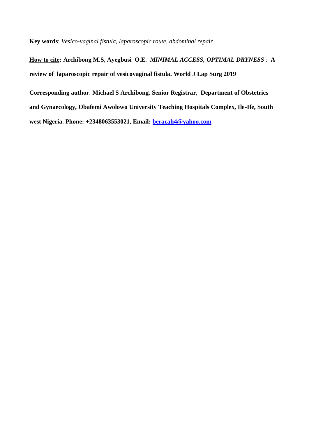**Key words**: *Vesico-vaginal fistula, laparoscopic route, abdominal repair*

**How to cite: Archibong M.S, Ayegbusi O.E.** *MINIMAL ACCESS, OPTIMAL DRYNESS* : **A review of laparoscopic repair of vesicovaginal fistula. World J Lap Surg 2019 Corresponding author**: **Michael S Archibong. Senior Registrar, Department of Obstetrics and Gynaecology, Obafemi Awolowo University Teaching Hospitals Complex, Ile-Ife, South west Nigeria. Phone: +2348063553021, Email: [beracah4@yahoo.com](mailto:beracah4@yahoo.com)**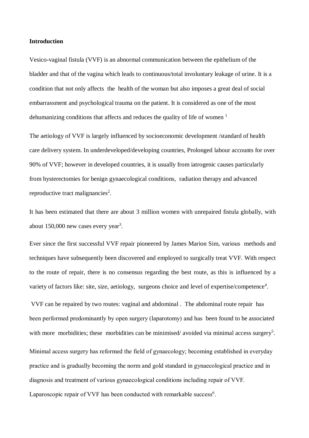## **Introduction**

Vesico-vaginal fistula (VVF) is an abnormal communication between the epithelium of the bladder and that of the vagina which leads to continuous/total involuntary leakage of urine. It is a condition that not only affects the health of the woman but also imposes a great deal of social embarrassment and psychological trauma on the patient. It is considered as one of the most dehumanizing conditions that affects and reduces the quality of life of women  $<sup>1</sup>$ </sup>

The aetiology of VVF is largely influenced by socioeconomic development /standard of health care delivery system. In underdeveloped/developing countries, Prolonged labour accounts for over 90% of VVF; however in developed countries, it is usually from iatrogenic causes particularly from hysterectomies for benign gynaecological conditions, radiation therapy and advanced reproductive tract malignancies<sup>2</sup>.

It has been estimated that there are about 3 million women with unrepaired fistula globally, with about 150,000 new cases every year<sup>3</sup>.

Ever since the first successful VVF repair pioneered by James Marion Sim, various methods and techniques have subsequently been discovered and employed to surgically treat VVF. With respect to the route of repair, there is no consensus regarding the best route, as this is influenced by a variety of factors like: site, size, aetiology, surgeons choice and level of expertise/competence<sup>4</sup>.

VVF can be repaired by two routes: vaginal and abdominal . The abdominal route repair has been performed predominantly by open surgery (laparotomy) and has been found to be associated with more morbidities; these morbidities can be minimised/avoided via minimal access surgery<sup>5</sup>.

Minimal access surgery has reformed the field of gynaecology; becoming established in everyday practice and is gradually becoming the norm and gold standard in gynaecological practice and in diagnosis and treatment of various gynaecological conditions including repair of VVF. Laparoscopic repair of VVF has been conducted with remarkable success<sup>6</sup>.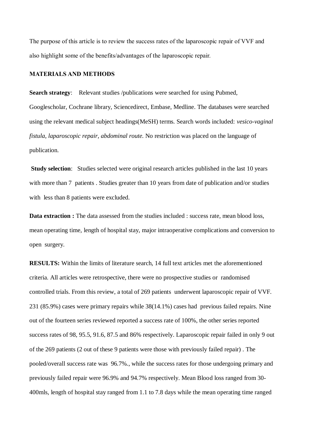The purpose of this article is to review the success rates of the laparoscopic repair of VVF and also highlight some of the benefits/advantages of the laparoscopic repair.

## **MATERIALS AND METHODS**

**Search strategy:** Relevant studies /publications were searched for using Pubmed, Googlescholar, Cochrane library, Sciencedirect, Embase, Medline. The databases were searched using the relevant medical subject headings(MeSH) terms. Search words included: *vesico-vaginal fistula*, *laparoscopic repair, abdominal route.* No restriction was placed on the language of publication.

**Study selection**: Studies selected were original research articles published in the last 10 years with more than 7 patients. Studies greater than 10 years from date of publication and/or studies with less than 8 patients were excluded.

**Data extraction :** The data assessed from the studies included : success rate, mean blood loss, mean operating time, length of hospital stay, major intraoperative complications and conversion to open surgery.

**RESULTS:** Within the limits of literature search, 14 full text articles met the aforementioned criteria. All articles were retrospective, there were no prospective studies or randomised controlled trials. From this review, a total of 269 patients underwent laparoscopic repair of VVF. 231 (85.9%) cases were primary repairs while 38(14.1%) cases had previous failed repairs. Nine out of the fourteen series reviewed reported a success rate of 100%, the other series reported success rates of 98, 95.5, 91.6, 87.5 and 86% respectively. Laparoscopic repair failed in only 9 out of the 269 patients (2 out of these 9 patients were those with previously failed repair) . The pooled/overall success rate was 96.7%., while the success rates for those undergoing primary and previously failed repair were 96.9% and 94.7% respectively. Mean Blood loss ranged from 30- 400mls, length of hospital stay ranged from 1.1 to 7.8 days while the mean operating time ranged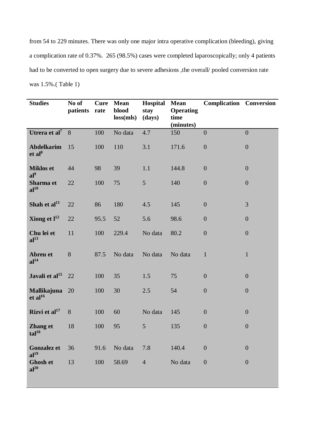from 54 to 229 minutes. There was only one major intra operative complication (bleeding), giving a complication rate of 0.37%. 265 (98.5%) cases were completed laparoscopically; only 4 patients had to be converted to open surgery due to severe adhesions ,the overall/ pooled conversion rate was 1.5%.( Table 1)

| <b>Studies</b>                            | No of<br>patients rate | Cure | <b>Mean</b><br>blood<br>loss(mls) | Hospital<br>stay<br>(days) | <b>Mean</b><br><b>Operating</b><br>time<br>(minutes) | <b>Complication Conversion</b> |                  |
|-------------------------------------------|------------------------|------|-----------------------------------|----------------------------|------------------------------------------------------|--------------------------------|------------------|
| Utrera et al <sup>7</sup> 8               |                        | 100  | No data                           | 4.7                        | 150                                                  | $\overline{0}$                 | $\overline{0}$   |
| <b>Abdelkarim</b><br>et al <sup>8</sup>   | 15                     | 100  | 110                               | 3.1                        | 171.6                                                | $\boldsymbol{0}$               | $\boldsymbol{0}$ |
| <b>Miklos et</b>                          | 44                     | 98   | 39                                | 1.1                        | 144.8                                                | $\boldsymbol{0}$               | $\boldsymbol{0}$ |
| $al^9$<br>Sharma et<br>al <sup>10</sup>   | 22                     | 100  | 75                                | 5                          | 140                                                  | $\overline{0}$                 | $\overline{0}$   |
| Shah et al <sup>11</sup>                  | 22                     | 86   | 180                               | 4.5                        | 145                                                  | $\boldsymbol{0}$               | 3                |
| Xiong et $l^{12}$                         | 22                     | 95.5 | 52                                | 5.6                        | 98.6                                                 | $\overline{0}$                 | $\boldsymbol{0}$ |
| Chu lei et<br>al <sup>13</sup>            | 11                     | 100  | 229.4                             | No data                    | 80.2                                                 | $\overline{0}$                 | $\overline{0}$   |
| Abreu et<br>al <sup>14</sup>              | 8                      | 87.5 | No data                           | No data                    | No data                                              | $\mathbf{1}$                   | $\mathbf{1}$     |
| Javali et al <sup>15</sup>                | 22                     | 100  | 35                                | 1.5                        | 75                                                   | $\overline{0}$                 | $\overline{0}$   |
| <b>Mallikajuna</b><br>et al <sup>16</sup> | 20                     | 100  | 30                                | 2.5                        | 54                                                   | $\boldsymbol{0}$               | $\boldsymbol{0}$ |
| Rizvi et $al17$                           | 8                      | 100  | 60                                | No data                    | 145                                                  | $\overline{0}$                 | $\boldsymbol{0}$ |
| <b>Zhang et</b><br>$tal^{18}$             | 18                     | 100  | 95                                | $5\overline{)}$            | 135                                                  | $\boldsymbol{0}$               | $\boldsymbol{0}$ |
| <b>Gonzalez et</b><br>al <sup>19</sup>    | 36                     | 91.6 | No data                           | 7.8                        | 140.4                                                | $\boldsymbol{0}$               | $\boldsymbol{0}$ |
| <b>Ghosh et</b><br>al <sup>20</sup>       | 13                     | 100  | 58.69                             | $\overline{4}$             | No data                                              | $\boldsymbol{0}$               | $\overline{0}$   |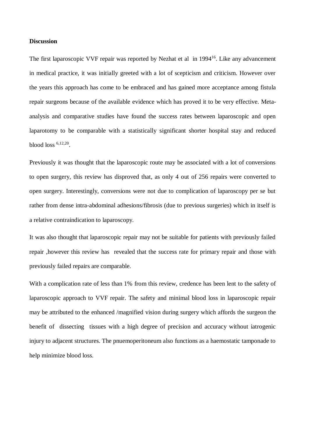#### **Discussion**

The first laparoscopic VVF repair was reported by Nezhat et al in 1994<sup>16</sup>. Like any advancement in medical practice, it was initially greeted with a lot of scepticism and criticism. However over the years this approach has come to be embraced and has gained more acceptance among fistula repair surgeons because of the available evidence which has proved it to be very effective. Metaanalysis and comparative studies have found the success rates between laparoscopic and open laparotomy to be comparable with a statistically significant shorter hospital stay and reduced blood loss 6,12,20 .

Previously it was thought that the laparoscopic route may be associated with a lot of conversions to open surgery, this review has disproved that, as only 4 out of 256 repairs were converted to open surgery. Interestingly, conversions were not due to complication of laparoscopy per se but rather from dense intra-abdominal adhesions/fibrosis (due to previous surgeries) which in itself is a relative contraindication to laparoscopy.

It was also thought that laparoscopic repair may not be suitable for patients with previously failed repair ,however this review has revealed that the success rate for primary repair and those with previously failed repairs are comparable.

With a complication rate of less than 1% from this review, credence has been lent to the safety of laparoscopic approach to VVF repair. The safety and minimal blood loss in laparoscopic repair may be attributed to the enhanced /magnified vision during surgery which affords the surgeon the benefit of dissecting tissues with a high degree of precision and accuracy without iatrogenic injury to adjacent structures. The pnuemoperitoneum also functions as a haemostatic tamponade to help minimize blood loss.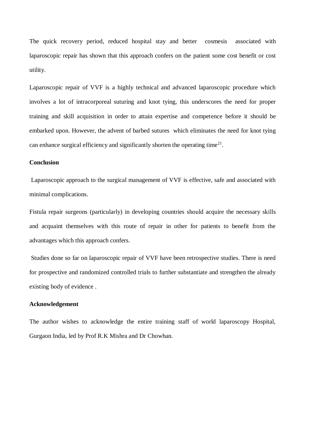The quick recovery period, reduced hospital stay and better cosmesis associated with laparoscopic repair has shown that this approach confers on the patient some cost benefit or cost utility.

Laparoscopic repair of VVF is a highly technical and advanced laparoscopic procedure which involves a lot of intracorporeal suturing and knot tying, this underscores the need for proper training and skill acquisition in order to attain expertise and competence before it should be embarked upon. However, the advent of barbed sutures which eliminates the need for knot tying can enhance surgical efficiency and significantly shorten the operating time<sup>21</sup>.

## **Conclusion**

Laparoscopic approach to the surgical management of VVF is effective, safe and associated with minimal complications.

Fistula repair surgeons (particularly) in developing countries should acquire the necessary skills and acquaint themselves with this route of repair in other for patients to benefit from the advantages which this approach confers.

Studies done so far on laparoscopic repair of VVF have been retrospective studies. There is need for prospective and randomized controlled trials to further substantiate and strengthen the already existing body of evidence .

# **Acknowledgement**

The author wishes to acknowledge the entire training staff of world laparoscopy Hospital, Gurgaon India, led by Prof R.K Mishra and Dr Chowhan.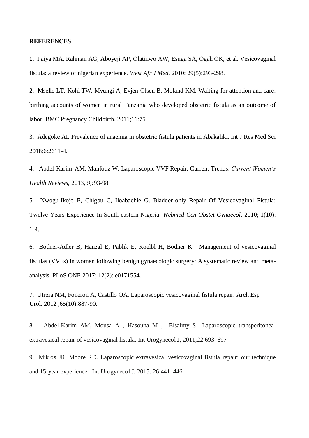## **REFERENCES**

**1.** Ijaiya MA, Rahman AG, Aboyeji AP, Olatinwo AW, Esuga SA, Ogah OK, et al. Vesicovaginal fistula: a review of nigerian experience. *West Afr J Med*. 2010; 29(5):293-298.

2. Mselle LT, Kohi TW, Mvungi A, Evjen-Olsen B, Moland KM. Waiting for attention and care: birthing accounts of women in rural Tanzania who developed obstetric fistula as an outcome of labor. BMC Pregnancy Childbirth. 2011;11:75.

3. Adegoke AI. Prevalence of anaemia in obstetric fistula patients in Abakaliki. Int J Res Med Sci 2018;6:2611-4.

4. Abdel-Karim AM, Mahfouz W. Laparoscopic VVF Repair: Current Trends. *Current Women's Health Reviews,* 2013, *9,:*93-98

5. Nwogu-Ikojo E, Chigbu C, Iloabachie G. Bladder-only Repair Of Vesicovaginal Fistula: Twelve Years Experience In South-eastern Nigeria. *Webmed Cen Obstet Gynaecol*. 2010; 1(10): 1-4.

6. Bodner-Adler B, Hanzal E, Pablik E, Koelbl H, Bodner K. Management of vesicovaginal fistulas (VVFs) in women following benign gynaecologic surgery: A systematic review and metaanalysis. PLoS ONE 2017; 12(2): e0171554.

7. [Utrera NM,](https://www.ncbi.nlm.nih.gov/pubmed/?term=Utrera%20NM%5BAuthor%5D&cauthor=true&cauthor_uid=23269335) [Foneron A,](https://www.ncbi.nlm.nih.gov/pubmed/?term=Foneron%20A%5BAuthor%5D&cauthor=true&cauthor_uid=23269335) [Castillo OA.](https://www.ncbi.nlm.nih.gov/pubmed/?term=Castillo%20OA%5BAuthor%5D&cauthor=true&cauthor_uid=23269335) Laparoscopic vesicovaginal fistula repair. [Arch Esp](https://www.ncbi.nlm.nih.gov/pubmed/23269335)  [Urol.](https://www.ncbi.nlm.nih.gov/pubmed/23269335) 2012 ;65(10):887-90.

8. Abdel-Karim AM, Mousa A , Hasouna M , Elsalmy S Laparoscopic transperitoneal extravesical repair of vesicovaginal fistula. Int Urogynecol J, 2011;22:693–697

9. Miklos JR, Moore RD. Laparoscopic extravesical vesicovaginal fistula repair: our technique and 15-year experience. Int Urogynecol J, 2015. 26:441–446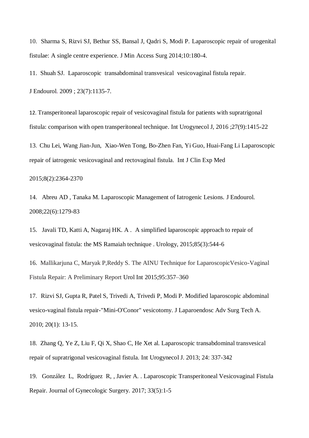10. Sharma S, Rizvi SJ, Bethur SS, Bansal J, Qadri S, Modi P. Laparoscopic repair of urogenital fistulae: A single centre experience. J Min Access Surg 2014;10:180-4.

11. Shuah SJ. Laparoscopic transabdominal transvesical vesicovaginal fistula repair.

[J Endourol.](https://www.ncbi.nlm.nih.gov/pubmed/19583506) 2009 ; 23(7):1135-7.

12. Transperitoneal laparoscopic repair of vesicovaginal fistula for patients with supratrigonal fistula: comparison with open transperitoneal technique. Int Urogynecol J, 2016 ;27(9):1415-22

13. Chu Lei, Wang Jian-Jun, Xiao-Wen Tong, Bo-Zhen Fan, Yi Guo, Huai-Fang Li Laparoscopic repair of iatrogenic vesicovaginal and rectovaginal fistula. Int J Clin Exp Med

#### 2015;8(2):2364-2370

14. Abreu AD , Tanaka M. Laparoscopic Management of Iatrogenic Lesions. J Endourol. 2008;22(6):1279-83

15. Javali TD, Katti A, Nagaraj HK. A . A simplified laparoscopic approach to repair of vesicovaginal fistula: the MS Ramaiah technique . Urology, 2015;85(3):544-6

16. Mallikarjuna C, Maryak P,Reddy S. The AINU Technique for LaparoscopicVesico-Vaginal Fistula Repair: A Preliminary Report Urol Int 2015;95:357–360

17. Rizvi SJ, Gupta R, Patel S, Trivedi A, Trivedi P, Modi P. Modified laparoscopic abdominal vesico-vaginal fistula repair-"Mini-O'Conor" vesicotomy. J Laparoendosc Adv Surg Tech A. 2010; 20(1): 13-15.

18. Zhang Q, Ye Z, Liu F, Qi X, Shao C, He Xet al. Laparoscopic transabdominal transvesical repair of supratrigonal vesicovaginal fistula. Int Urogynecol J. 2013; 24: 337-342

19. González L, Rodríguez R, , Javier A. . Laparoscopic Transperitoneal Vesicovaginal Fistula Repair. Journal of Gynecologic Surgery. 2017; 33(5):1-5